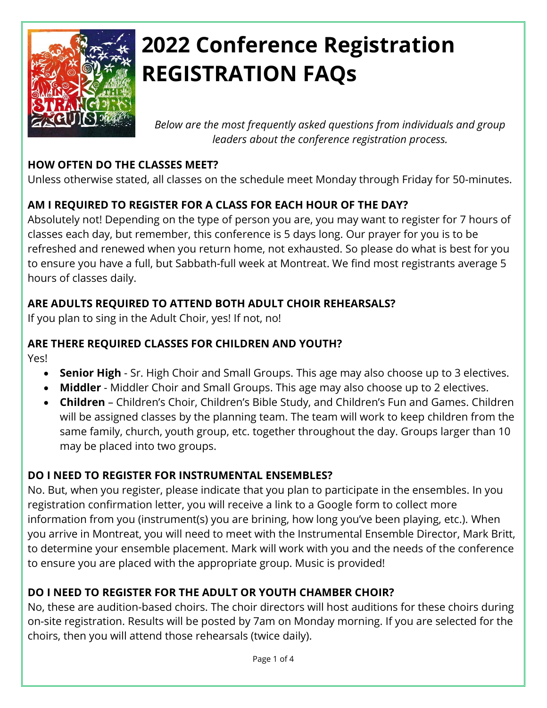

# **2022 Conference Registration REGISTRATION FAQs**

*Below are the most frequently asked questions from individuals and group leaders about the conference registration process.*

#### **HOW OFTEN DO THE CLASSES MEET?**

Unless otherwise stated, all classes on the schedule meet Monday through Friday for 50-minutes.

# **AM I REQUIRED TO REGISTER FOR A CLASS FOR EACH HOUR OF THE DAY?**

Absolutely not! Depending on the type of person you are, you may want to register for 7 hours of classes each day, but remember, this conference is 5 days long. Our prayer for you is to be refreshed and renewed when you return home, not exhausted. So please do what is best for you to ensure you have a full, but Sabbath-full week at Montreat. We find most registrants average 5 hours of classes daily.

## **ARE ADULTS REQUIRED TO ATTEND BOTH ADULT CHOIR REHEARSALS?**

If you plan to sing in the Adult Choir, yes! If not, no!

#### **ARE THERE REQUIRED CLASSES FOR CHILDREN AND YOUTH?**

Yes!

- **Senior High** Sr. High Choir and Small Groups. This age may also choose up to 3 electives.
- **Middler** Middler Choir and Small Groups. This age may also choose up to 2 electives.
- **Children** Children's Choir, Children's Bible Study, and Children's Fun and Games. Children will be assigned classes by the planning team. The team will work to keep children from the same family, church, youth group, etc. together throughout the day. Groups larger than 10 may be placed into two groups.

#### **DO I NEED TO REGISTER FOR INSTRUMENTAL ENSEMBLES?**

No. But, when you register, please indicate that you plan to participate in the ensembles. In you registration confirmation letter, you will receive a link to a Google form to collect more information from you (instrument(s) you are brining, how long you've been playing, etc.). When you arrive in Montreat, you will need to meet with the Instrumental Ensemble Director, Mark Britt, to determine your ensemble placement. Mark will work with you and the needs of the conference to ensure you are placed with the appropriate group. Music is provided!

# **DO I NEED TO REGISTER FOR THE ADULT OR YOUTH CHAMBER CHOIR?**

No, these are audition-based choirs. The choir directors will host auditions for these choirs during on-site registration. Results will be posted by 7am on Monday morning. If you are selected for the choirs, then you will attend those rehearsals (twice daily).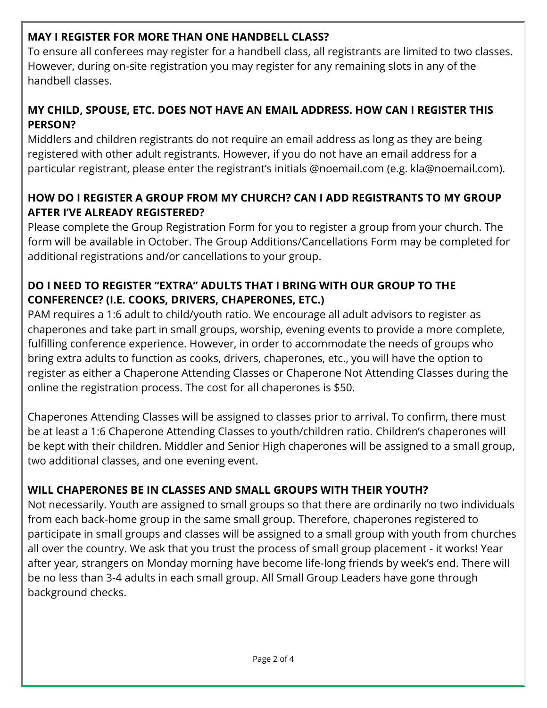#### **MAY I REGISTER FOR MORE THAN ONE HANDBELL CLASS?**

To ensure all conferees may register for a handbell class, all registrants are limited to two classes. However, during on-site registration you may register for any remaining slots in any of the handbell classes.

### **MY CHILD, SPOUSE, ETC. DOES NOT HAVE AN EMAIL ADDRESS. HOW CAN I REGISTER THIS PERSON?**

Middlers and children registrants do not require an email address as long as they are being registered with other adult registrants. However, if you do not have an email address for a particular registrant, please enter the registrant's initials @noemail.com (e.g. kla@noemail.com).

#### **HOW DO I REGISTER A GROUP FROM MY CHURCH? CAN I ADD REGISTRANTS TO MY GROUP AFTER I'VE ALREADY REGISTERED?**

Please complete the Group Registration Form for you to register a group from your church. The form will be available in October. The Group Additions/Cancellations Form may be completed for additional registrations and/or cancellations to your group.

### **DO I NEED TO REGISTER "EXTRA" ADULTS THAT I BRING WITH OUR GROUP TO THE CONFERENCE? (I.E. COOKS, DRIVERS, CHAPERONES, ETC.)**

PAM requires a 1:6 adult to child/youth ratio. We encourage all adult advisors to register as chaperones and take part in small groups, worship, evening events to provide a more complete, fulfilling conference experience. However, in order to accommodate the needs of groups who bring extra adults to function as cooks, drivers, chaperones, etc., you will have the option to register as either a Chaperone Attending Classes or Chaperone Not Attending Classes during the online the registration process. The cost for all chaperones is \$50.

Chaperones Attending Classes will be assigned to classes prior to arrival. To confirm, there must be at least a 1:6 Chaperone Attending Classes to youth/children ratio. Children's chaperones will be kept with their children. Middler and Senior High chaperones will be assigned to a small group, two additional classes, and one evening event.

# **WILL CHAPERONES BE IN CLASSES AND SMALL GROUPS WITH THEIR YOUTH?**

Not necessarily. Youth are assigned to small groups so that there are ordinarily no two individuals from each back-home group in the same small group. Therefore, chaperones registered to participate in small groups and classes will be assigned to a small group with youth from churches all over the country. We ask that you trust the process of small group placement - it works! Year after year, strangers on Monday morning have become life-long friends by week's end. There will be no less than 3-4 adults in each small group. All Small Group Leaders have gone through background checks.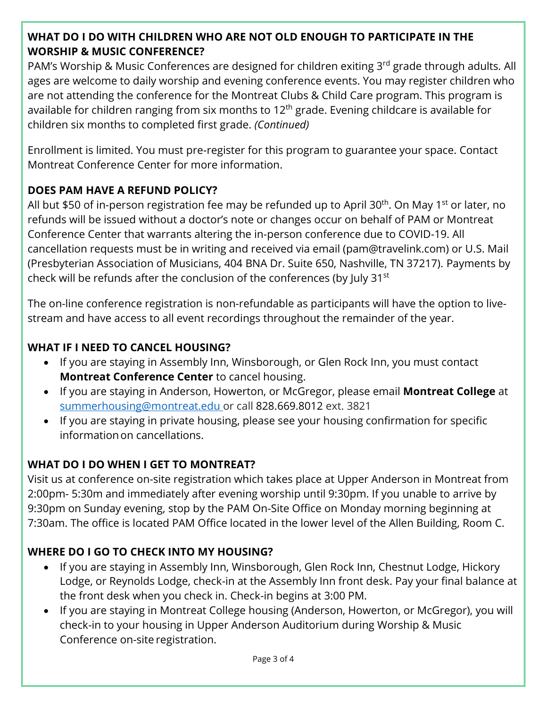#### **WHAT DO I DO WITH CHILDREN WHO ARE NOT OLD ENOUGH TO PARTICIPATE IN THE WORSHIP & MUSIC CONFERENCE?**

PAM's Worship & Music Conferences are designed for children exiting 3rd grade through adults. All ages are welcome to daily worship and evening conference events. You may register children who are not attending the conference for the Montreat Clubs & Child Care program. This program is available for children ranging from six months to  $12<sup>th</sup>$  grade. Evening childcare is available for children six months to completed first grade. *(Continued)*

Enrollment is limited. You must pre-register for this program to guarantee your space. Contact Montreat Conference Center for more information.

#### **DOES PAM HAVE A REFUND POLICY?**

All but \$50 of in-person registration fee may be refunded up to April 30<sup>th</sup>. On May 1<sup>st</sup> or later, no refunds will be issued without a doctor's note or changes occur on behalf of PAM or Montreat Conference Center that warrants altering the in-person conference due to COVID-19. All cancellation requests must be in writing and received via email (pam@travelink.com) or U.S. Mail (Presbyterian Association of Musicians, 404 BNA Dr. Suite 650, Nashville, TN 37217). Payments by check will be refunds after the conclusion of the conferences (by July 31<sup>st</sup>

The on-line conference registration is non-refundable as participants will have the option to livestream and have access to all event recordings throughout the remainder of the year.

#### **WHAT IF I NEED TO CANCEL HOUSING?**

- If you are staying in Assembly Inn, Winsborough, or Glen Rock Inn, you must contact **Montreat Conference Center** to cancel housing.
- If you are staying in Anderson, Howerton, or McGregor, please email **Montreat College** at [summerhousing@montreat.edu](mailto:summerhousing@montreat.edu) or call 828.669.8012 ext. 3821
- If you are staying in private housing, please see your housing confirmation for specific informationon cancellations.

#### **WHAT DO I DO WHEN I GET TO MONTREAT?**

Visit us at conference on-site registration which takes place at Upper Anderson in Montreat from 2:00pm- 5:30m and immediately after evening worship until 9:30pm. If you unable to arrive by 9:30pm on Sunday evening, stop by the PAM On-Site Office on Monday morning beginning at 7:30am. The office is located PAM Office located in the lower level of the Allen Building, Room C.

#### **WHERE DO I GO TO CHECK INTO MY HOUSING?**

- If you are staying in Assembly Inn, Winsborough, Glen Rock Inn, Chestnut Lodge, Hickory Lodge, or Reynolds Lodge, check-in at the Assembly Inn front desk. Pay your final balance at the front desk when you check in. Check-in begins at 3:00 PM.
- If you are staying in Montreat College housing (Anderson, Howerton, or McGregor), you will check-in to your housing in Upper Anderson Auditorium during Worship & Music Conference on-site registration.